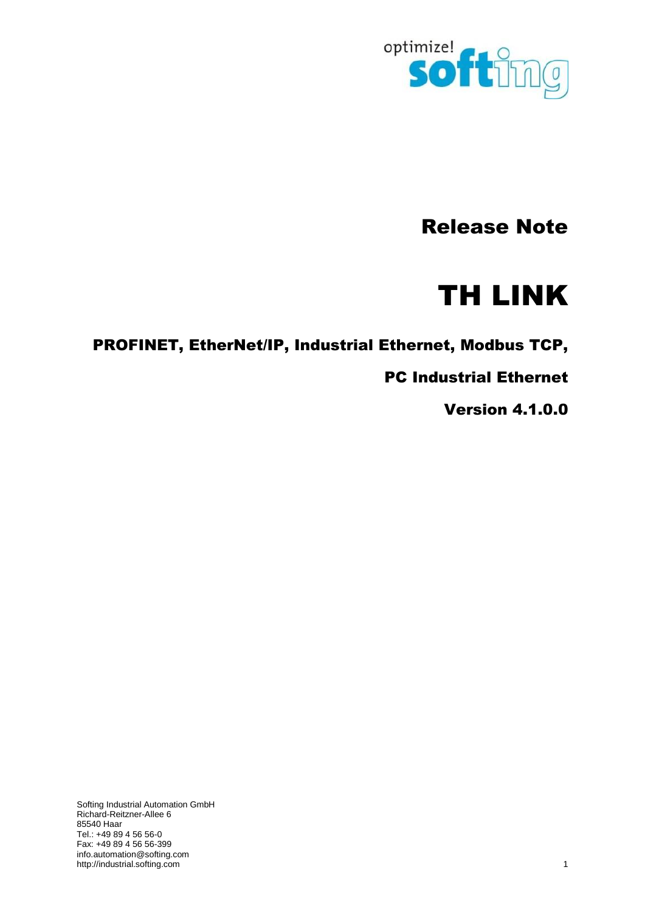

# Release Note

# TH LINK

PROFINET, EtherNet/IP, Industrial Ethernet, Modbus TCP,

PC Industrial Ethernet

Version 4.1.0.0

Softing Industrial Automation GmbH Richard-Reitzner-Allee 6 85540 Haar Tel.: +49 89 4 56 56-0 Fax: +49 89 4 56 56-399 [info.automation@softing.com](mailto:info.automation@softing.com) [http://industrial.softing.com](http://industrial.softing.com/) 1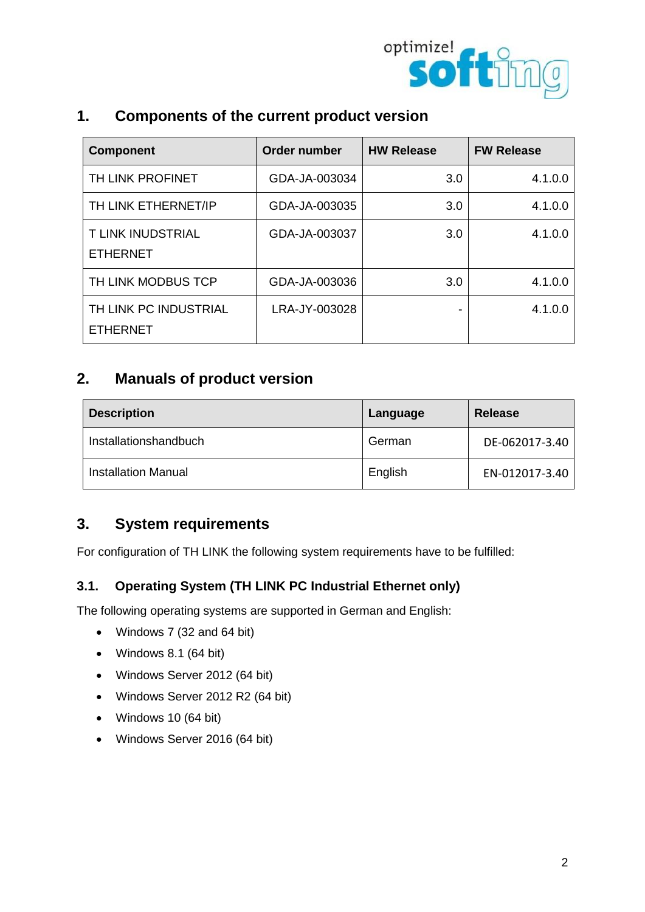

| 1. | <b>Components of the current product version</b> |  |
|----|--------------------------------------------------|--|
|----|--------------------------------------------------|--|

| <b>Component</b>                            | <b>Order number</b> | <b>HW Release</b> | <b>FW Release</b> |
|---------------------------------------------|---------------------|-------------------|-------------------|
| TH LINK PROFINET                            | GDA-JA-003034       | 3.0               | 4.1.0.0           |
| TH LINK ETHERNET/IP                         | GDA-JA-003035       | 3.0               | 4.1.0.0           |
| <b>T LINK INUDSTRIAL</b><br><b>ETHERNET</b> | GDA-JA-003037       | 3.0               | 4.1.0.0           |
| TH LINK MODBUS TCP                          | GDA-JA-003036       | 3.0               | 4.1.0.0           |
| TH LINK PC INDUSTRIAL<br><b>ETHERNET</b>    | LRA-JY-003028       |                   | 4.1.0.0           |

## **2. Manuals of product version**

| <b>Description</b>         | Language | <b>Release</b> |
|----------------------------|----------|----------------|
| Installationshandbuch      | German   | DE-062017-3.40 |
| <b>Installation Manual</b> | English  | EN-012017-3.40 |

## **3. System requirements**

For configuration of TH LINK the following system requirements have to be fulfilled:

#### **3.1. Operating System (TH LINK PC Industrial Ethernet only)**

The following operating systems are supported in German and English:

- Windows 7 (32 and 64 bit)
- Windows 8.1 (64 bit)
- Windows Server 2012 (64 bit)
- Windows Server 2012 R2 (64 bit)
- Windows 10 (64 bit)
- Windows Server 2016 (64 bit)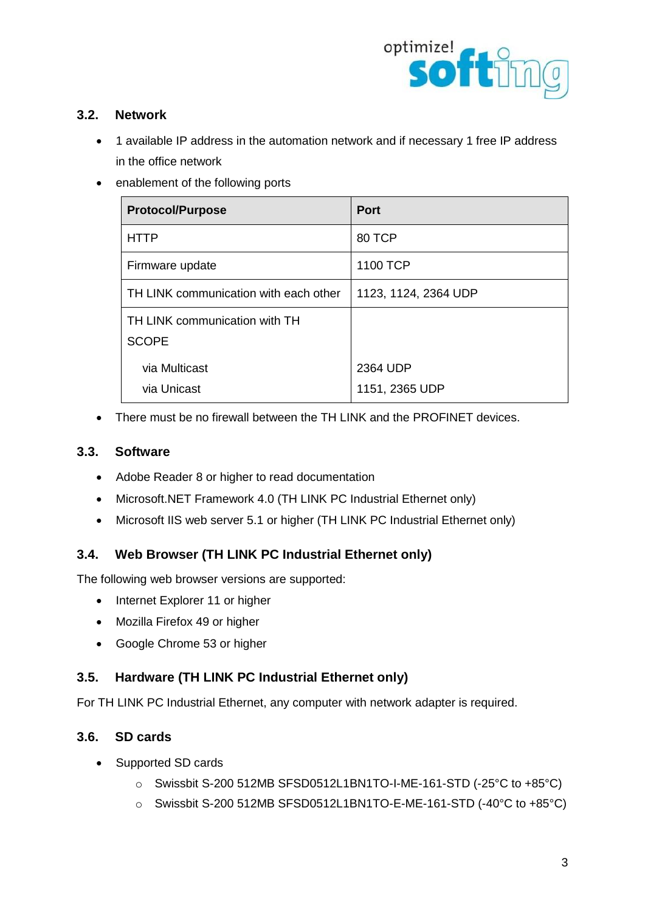

#### **3.2. Network**

- 1 available IP address in the automation network and if necessary 1 free IP address in the office network
- enablement of the following ports

| <b>Protocol/Purpose</b>                       | <b>Port</b>                |
|-----------------------------------------------|----------------------------|
| <b>HTTP</b>                                   | 80 TCP                     |
| Firmware update                               | 1100 TCP                   |
| TH LINK communication with each other         | 1123, 1124, 2364 UDP       |
| TH LINK communication with TH<br><b>SCOPE</b> |                            |
| via Multicast<br>via Unicast                  | 2364 UDP<br>1151, 2365 UDP |

• There must be no firewall between the TH LINK and the PROFINET devices.

#### **3.3. Software**

- Adobe Reader 8 or higher to read documentation
- Microsoft.NET Framework 4.0 (TH LINK PC Industrial Ethernet only)
- Microsoft IIS web server 5.1 or higher (TH LINK PC Industrial Ethernet only)

## **3.4. Web Browser (TH LINK PC Industrial Ethernet only)**

The following web browser versions are supported:

- Internet Explorer 11 or higher
- Mozilla Firefox 49 or higher
- Google Chrome 53 or higher

#### **3.5. Hardware (TH LINK PC Industrial Ethernet only)**

For TH LINK PC Industrial Ethernet, any computer with network adapter is required.

#### **3.6. SD cards**

- Supported SD cards
	- o Swissbit S-200 512MB SFSD0512L1BN1TO-I-ME-161-STD (-25°C to +85°C)
	- o Swissbit S-200 512MB SFSD0512L1BN1TO-E-ME-161-STD (-40°C to +85°C)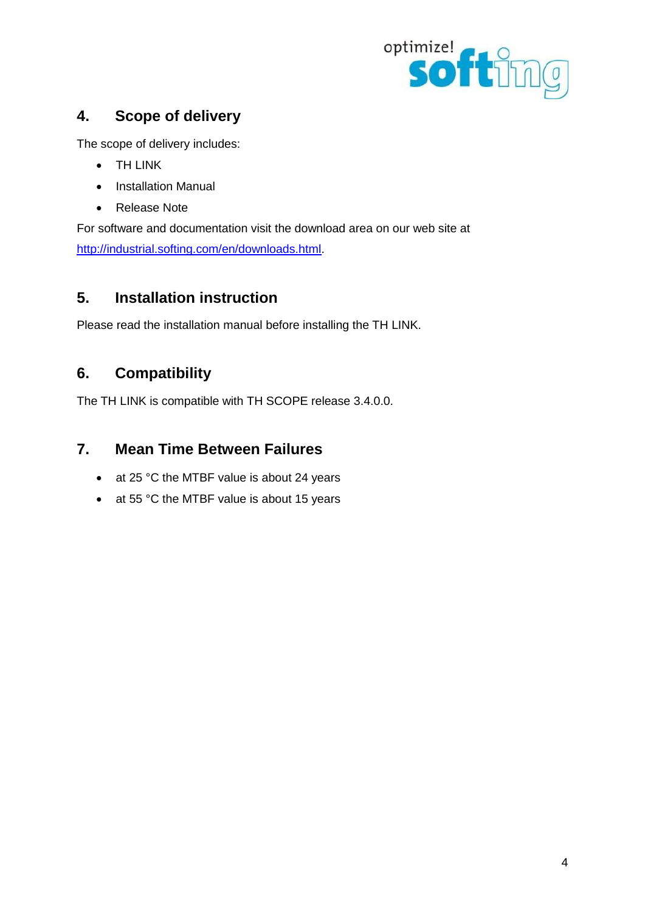

## **4. Scope of delivery**

The scope of delivery includes:

- TH LINK
- Installation Manual
- Release Note

For software and documentation visit the download area on our web site at [http://industrial.softing.com/en/downloads.html.](http://industrial.softing.com/en/downloads.html)

## **5. Installation instruction**

Please read the installation manual before installing the TH LINK.

## **6. Compatibility**

The TH LINK is compatible with TH SCOPE release 3.4.0.0.

## **7. Mean Time Between Failures**

- at 25 °C the MTBF value is about 24 years
- at 55 °C the MTBF value is about 15 years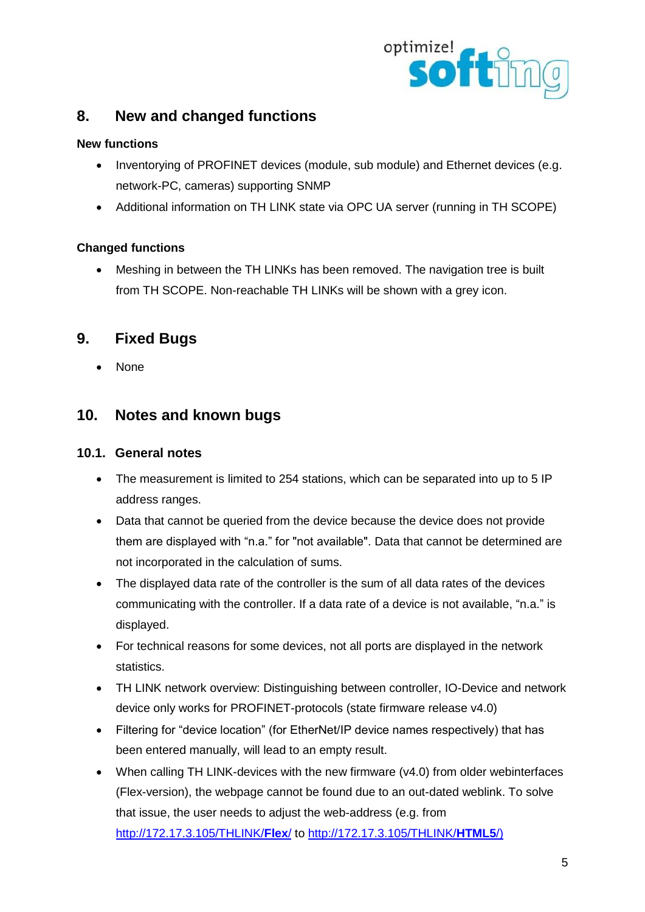

## **8. New and changed functions**

#### **New functions**

- Inventorying of PROFINET devices (module, sub module) and Ethernet devices (e.g. network-PC, cameras) supporting SNMP
- Additional information on TH LINK state via OPC UA server (running in TH SCOPE)

#### **Changed functions**

 Meshing in between the TH LINKs has been removed. The navigation tree is built from TH SCOPE. Non-reachable TH LINKs will be shown with a grey icon.

## **9. Fixed Bugs**

• None

## **10. Notes and known bugs**

#### **10.1. General notes**

- The measurement is limited to 254 stations, which can be separated into up to 5 IP address ranges.
- Data that cannot be queried from the device because the device does not provide them are displayed with "n.a." for "not available". Data that cannot be determined are not incorporated in the calculation of sums.
- The displayed data rate of the controller is the sum of all data rates of the devices communicating with the controller. If a data rate of a device is not available, "n.a." is displayed.
- For technical reasons for some devices, not all ports are displayed in the network statistics.
- TH LINK network overview: Distinguishing between controller, IO-Device and network device only works for PROFINET-protocols (state firmware release v4.0)
- Filtering for "device location" (for EtherNet/IP device names respectively) that has been entered manually, will lead to an empty result.
- When calling TH LINK-devices with the new firmware (v4.0) from older webinterfaces (Flex-version), the webpage cannot be found due to an out-dated weblink. To solve that issue, the user needs to adjust the web-address (e.g. from [http://172.17.3.105/THLINK/](http://172.17.3.105/THLINK/Flex/)**Flex**/ to [http://172.17.3.105/THLINK/](http://172.17.3.105/THLINK/HTML5/)**HTML5**/)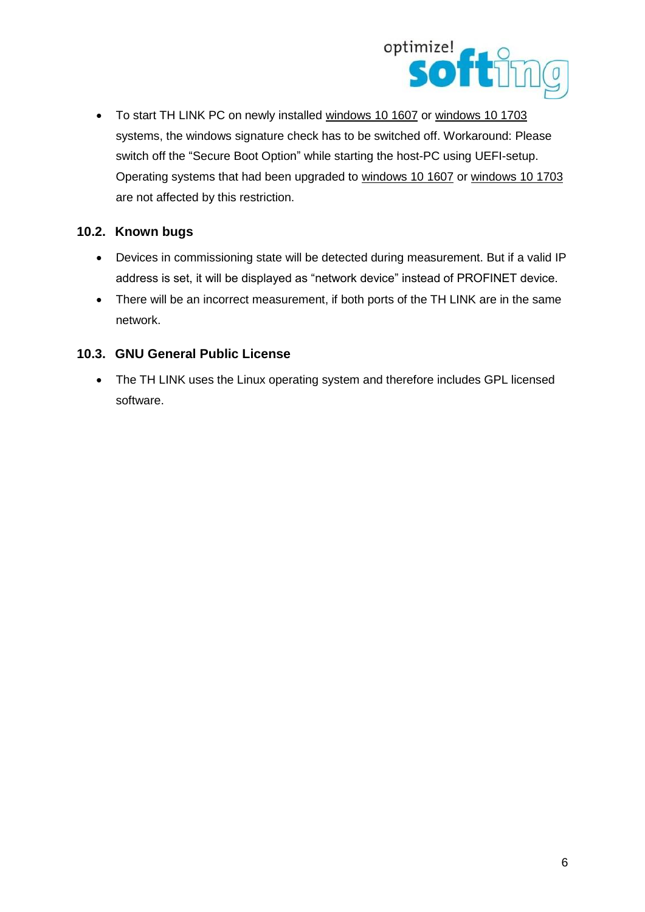

 To start TH LINK PC on newly installed windows 10 1607 or windows 10 1703 systems, the windows signature check has to be switched off. Workaround: Please switch off the "Secure Boot Option" while starting the host-PC using UEFI-setup. Operating systems that had been upgraded to windows 10 1607 or windows 10 1703 are not affected by this restriction.

#### **10.2. Known bugs**

- Devices in commissioning state will be detected during measurement. But if a valid IP address is set, it will be displayed as "network device" instead of PROFINET device.
- There will be an incorrect measurement, if both ports of the TH LINK are in the same network.

## **10.3. GNU General Public License**

• The TH LINK uses the Linux operating system and therefore includes GPL licensed software.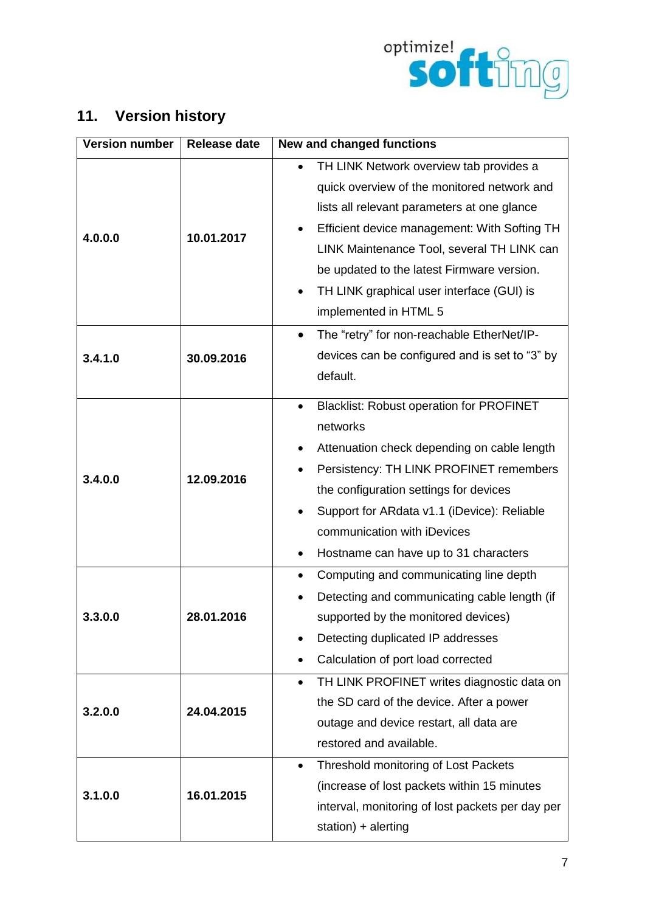

## **11. Version history**

| <b>Version number</b> | <b>Release date</b> | New and changed functions                                                                                                                                                                                                                                                                                                                               |  |  |
|-----------------------|---------------------|---------------------------------------------------------------------------------------------------------------------------------------------------------------------------------------------------------------------------------------------------------------------------------------------------------------------------------------------------------|--|--|
| 4.0.0.0               | 10.01.2017          | TH LINK Network overview tab provides a<br>quick overview of the monitored network and<br>lists all relevant parameters at one glance<br>Efficient device management: With Softing TH<br>LINK Maintenance Tool, several TH LINK can<br>be updated to the latest Firmware version.<br>TH LINK graphical user interface (GUI) is<br>implemented in HTML 5 |  |  |
| 3.4.1.0               | 30.09.2016          | The "retry" for non-reachable EtherNet/IP-<br>$\bullet$<br>devices can be configured and is set to "3" by<br>default.                                                                                                                                                                                                                                   |  |  |
| 3.4.0.0               | 12.09.2016          | <b>Blacklist: Robust operation for PROFINET</b><br>networks<br>Attenuation check depending on cable length<br>Persistency: TH LINK PROFINET remembers<br>the configuration settings for devices<br>Support for ARdata v1.1 (iDevice): Reliable<br>communication with iDevices<br>Hostname can have up to 31 characters<br>٠                             |  |  |
| 3.0.0                 | 28.01.2016          | Computing and communicating line depth<br>Detecting and communicating cable length (if<br>supported by the monitored devices)<br>Detecting duplicated IP addresses<br>Calculation of port load corrected                                                                                                                                                |  |  |
| 3.2.0.0               | 24.04.2015          | TH LINK PROFINET writes diagnostic data on<br>$\bullet$<br>the SD card of the device. After a power<br>outage and device restart, all data are<br>restored and available.                                                                                                                                                                               |  |  |
| 3.1.0.0               | 16.01.2015          | Threshold monitoring of Lost Packets<br>$\bullet$<br>(increase of lost packets within 15 minutes<br>interval, monitoring of lost packets per day per<br>station) + alerting                                                                                                                                                                             |  |  |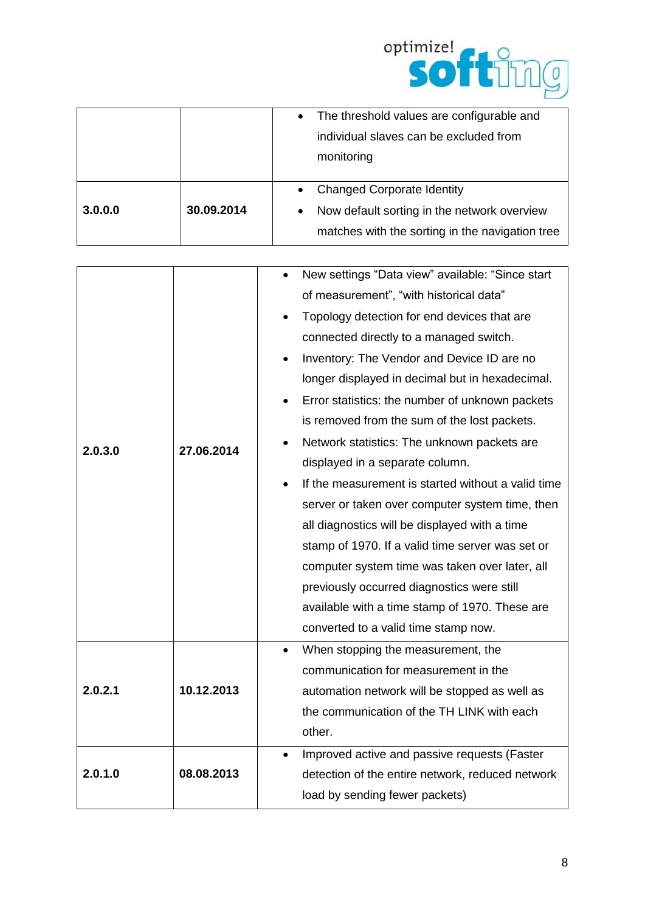

|         |            | The threshold values are configurable and<br>$\bullet$   |
|---------|------------|----------------------------------------------------------|
|         |            | individual slaves can be excluded from                   |
|         |            | monitoring                                               |
|         |            |                                                          |
|         |            | <b>Changed Corporate Identity</b>                        |
| 3.0.0.0 | 30.09.2014 | Now default sorting in the network overview<br>$\bullet$ |
|         |            | matches with the sorting in the navigation tree          |

|         |            | New settings "Data view" available: "Since start<br>$\bullet$ |
|---------|------------|---------------------------------------------------------------|
|         |            | of measurement", "with historical data"                       |
|         |            | Topology detection for end devices that are                   |
|         |            | connected directly to a managed switch.                       |
|         |            | Inventory: The Vendor and Device ID are no                    |
|         | 27.06.2014 | longer displayed in decimal but in hexadecimal.               |
|         |            | Error statistics: the number of unknown packets               |
|         |            | is removed from the sum of the lost packets.                  |
| 2.0.3.0 |            | Network statistics: The unknown packets are                   |
|         |            | displayed in a separate column.                               |
|         |            | If the measurement is started without a valid time            |
|         |            | server or taken over computer system time, then               |
|         |            | all diagnostics will be displayed with a time                 |
|         |            | stamp of 1970. If a valid time server was set or              |
|         |            | computer system time was taken over later, all                |
|         |            | previously occurred diagnostics were still                    |
|         |            | available with a time stamp of 1970. These are                |
|         |            | converted to a valid time stamp now.                          |
|         |            | When stopping the measurement, the                            |
|         |            | communication for measurement in the                          |
| 2.0.2.1 | 10.12.2013 | automation network will be stopped as well as                 |
|         |            | the communication of the TH LINK with each                    |
|         |            | other.                                                        |
|         |            | Improved active and passive requests (Faster                  |
| 2.0.1.0 | 08.08.2013 | detection of the entire network, reduced network              |
|         |            | load by sending fewer packets)                                |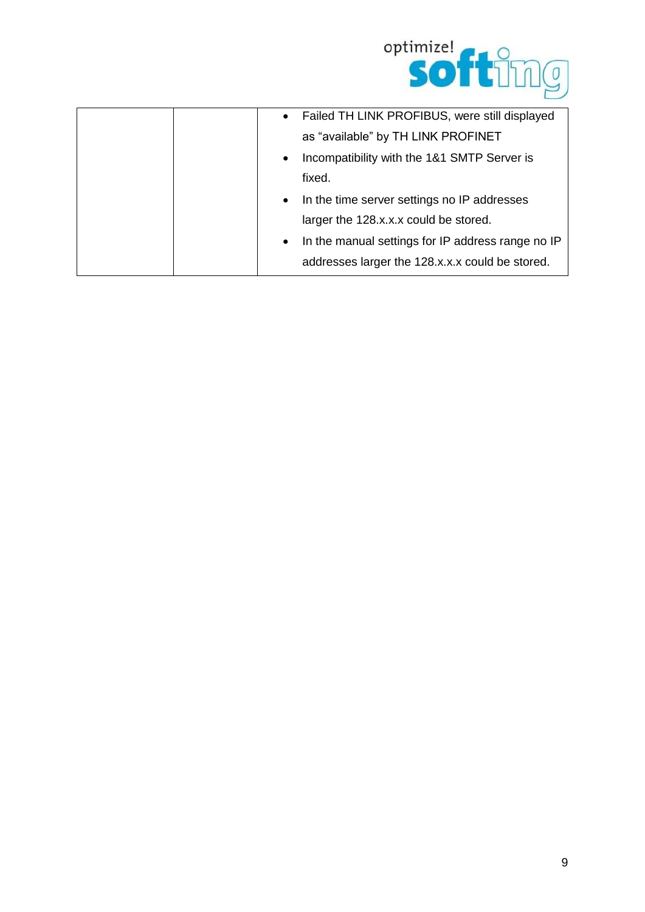

| Failed TH LINK PROFIBUS, were still displayed<br>$\bullet$     |
|----------------------------------------------------------------|
| as "available" by TH LINK PROFINET                             |
| Incompatibility with the 1&1 SMTP Server is<br>$\bullet$       |
| fixed.                                                         |
| In the time server settings no IP addresses<br>$\bullet$       |
| larger the 128.x.x.x could be stored.                          |
| In the manual settings for IP address range no IP<br>$\bullet$ |
| addresses larger the 128.x.x.x could be stored.                |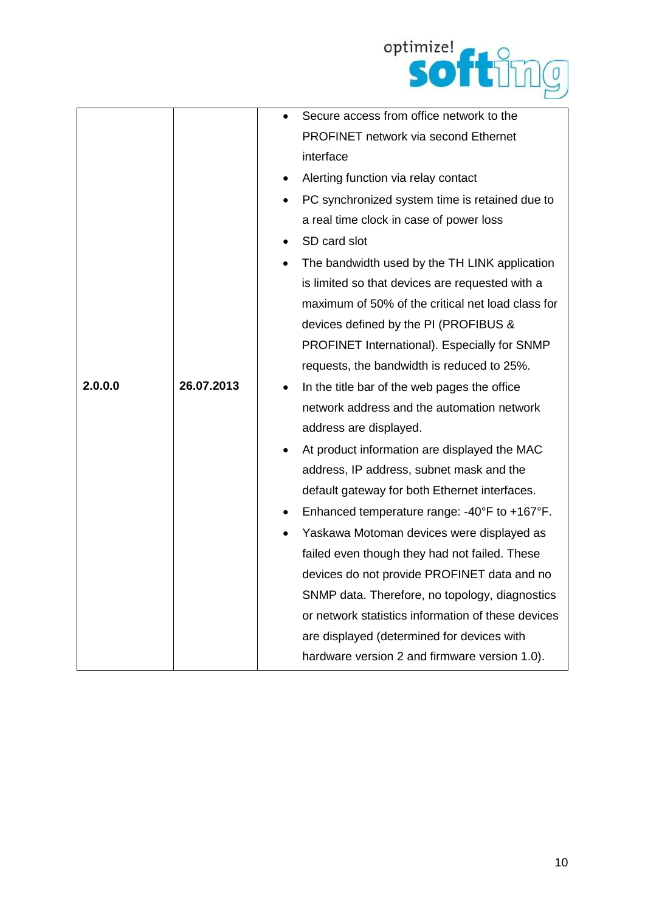

|         |            |           | Secure access from office network to the           |
|---------|------------|-----------|----------------------------------------------------|
|         |            |           | <b>PROFINET network via second Ethernet</b>        |
|         |            | interface |                                                    |
|         |            |           | Alerting function via relay contact                |
|         |            |           | PC synchronized system time is retained due to     |
|         |            |           | a real time clock in case of power loss            |
|         |            |           | SD card slot                                       |
|         |            |           | The bandwidth used by the TH LINK application      |
|         |            |           | is limited so that devices are requested with a    |
|         |            |           | maximum of 50% of the critical net load class for  |
|         |            |           | devices defined by the PI (PROFIBUS &              |
|         |            |           | PROFINET International). Especially for SNMP       |
|         |            |           | requests, the bandwidth is reduced to 25%.         |
| 2.0.0.0 | 26.07.2013 |           | In the title bar of the web pages the office       |
|         |            |           | network address and the automation network         |
|         |            |           | address are displayed.                             |
|         |            |           | At product information are displayed the MAC       |
|         |            |           | address, IP address, subnet mask and the           |
|         |            |           | default gateway for both Ethernet interfaces.      |
|         |            |           | Enhanced temperature range: -40°F to +167°F.       |
|         |            |           | Yaskawa Motoman devices were displayed as          |
|         |            |           | failed even though they had not failed. These      |
|         |            |           | devices do not provide PROFINET data and no        |
|         |            |           | SNMP data. Therefore, no topology, diagnostics     |
|         |            |           | or network statistics information of these devices |
|         |            |           | are displayed (determined for devices with         |
|         |            |           | hardware version 2 and firmware version 1.0).      |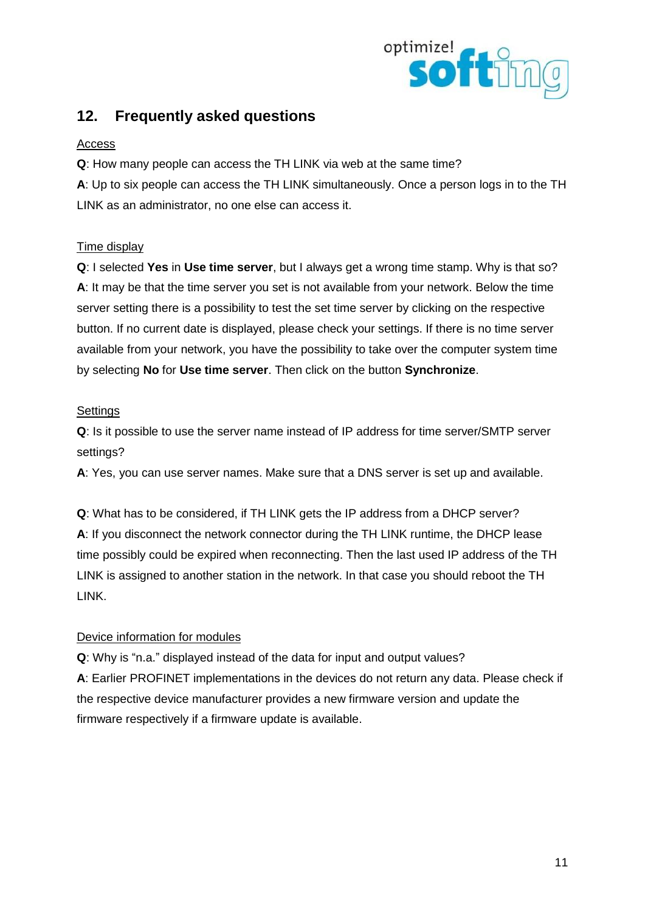

## **12. Frequently asked questions**

#### Access

**Q**: How many people can access the TH LINK via web at the same time?

**A**: Up to six people can access the TH LINK simultaneously. Once a person logs in to the TH LINK as an administrator, no one else can access it.

#### Time display

**Q**: I selected **Yes** in **Use time server**, but I always get a wrong time stamp. Why is that so? **A**: It may be that the time server you set is not available from your network. Below the time server setting there is a possibility to test the set time server by clicking on the respective button. If no current date is displayed, please check your settings. If there is no time server available from your network, you have the possibility to take over the computer system time by selecting **No** for **Use time server**. Then click on the button **Synchronize**.

#### **Settings**

**Q**: Is it possible to use the server name instead of IP address for time server/SMTP server settings?

**A**: Yes, you can use server names. Make sure that a DNS server is set up and available.

**Q**: What has to be considered, if TH LINK gets the IP address from a DHCP server? **A**: If you disconnect the network connector during the TH LINK runtime, the DHCP lease time possibly could be expired when reconnecting. Then the last used IP address of the TH LINK is assigned to another station in the network. In that case you should reboot the TH LINK.

#### Device information for modules

**Q**: Why is "n.a." displayed instead of the data for input and output values? **A**: Earlier PROFINET implementations in the devices do not return any data. Please check if the respective device manufacturer provides a new firmware version and update the firmware respectively if a firmware update is available.